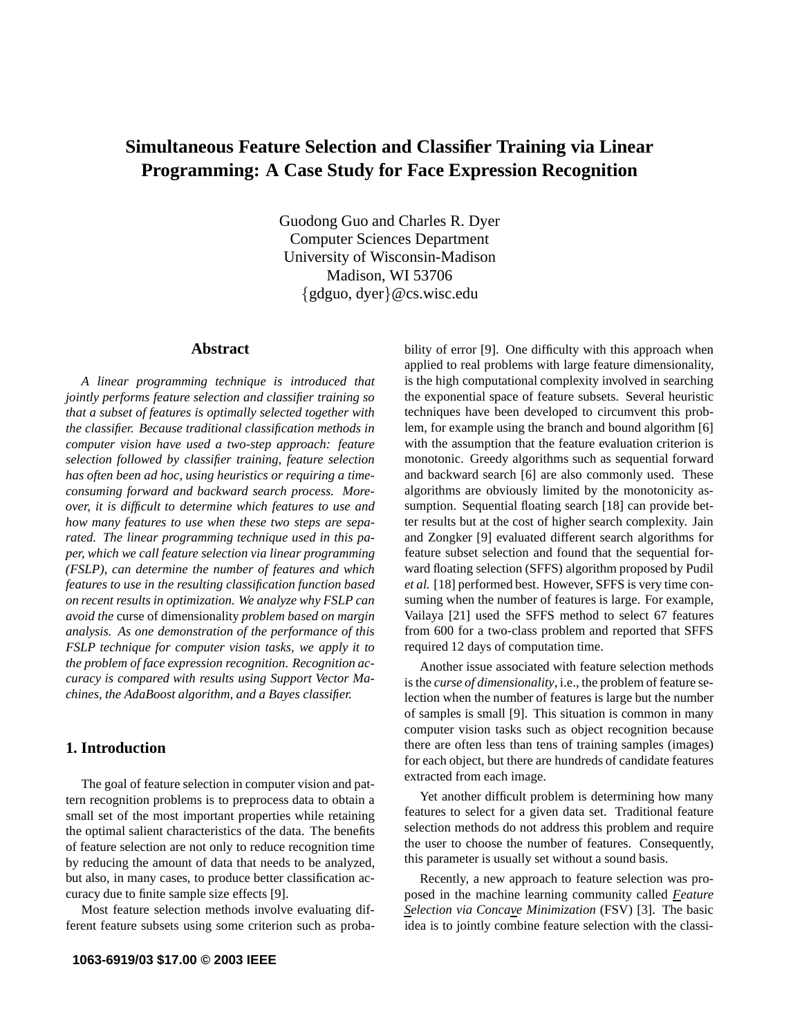# **Simultaneous Feature Selection and Classifier Training via Linear Programming: A Case Study for Face Expression Recognition**

Guodong Guo and Charles R. Dyer Computer Sciences Department University of Wisconsin-Madison Madison, WI 53706 {gdguo, dyer}@cs.wisc.edu

# **Abstract**

*A linear programming technique is introduced that jointly performs feature selection and classifier training so that a subset of features is optimally selected together with the classifier. Because traditional classification methods in computer vision have used a two-step approach: feature selection followed by classifier training, feature selection has often been ad hoc, using heuristics or requiring a timeconsuming forward and backward search process. Moreover, it is difficult to determine which features to use and how many features to use when these two steps are separated. The linear programming technique used in this paper, which we call feature selection via linear programming (FSLP), can determine the number of features and which features to use in the resulting classification function based on recent results in optimization. We analyze why FSLP can avoid the* curse of dimensionality *problem based on margin analysis. As one demonstration of the performance of this FSLP technique for computer vision tasks, we apply it to the problem of face expression recognition. Recognition accuracy is compared with results using Support Vector Machines, the AdaBoost algorithm, and a Bayes classifier.*

# **1. Introduction**

The goal of feature selection in computer vision and pattern recognition problems is to preprocess data to obtain a small set of the most important properties while retaining the optimal salient characteristics of the data. The benefits of feature selection are not only to reduce recognition time by reducing the amount of data that needs to be analyzed, but also, in many cases, to produce better classification accuracy due to finite sample size effects [9].

Most feature selection methods involve evaluating different feature subsets using some criterion such as probability of error [9]. One difficulty with this approach when applied to real problems with large feature dimensionality, is the high computational complexity involved in searching the exponential space of feature subsets. Several heuristic techniques have been developed to circumvent this problem, for example using the branch and bound algorithm [6] with the assumption that the feature evaluation criterion is monotonic. Greedy algorithms such as sequential forward and backward search [6] are also commonly used. These algorithms are obviously limited by the monotonicity assumption. Sequential floating search [18] can provide better results but at the cost of higher search complexity. Jain and Zongker [9] evaluated different search algorithms for feature subset selection and found that the sequential forward floating selection (SFFS) algorithm proposed by Pudil *et al.* [18] performed best. However, SFFS is very time consuming when the number of features is large. For example, Vailaya [21] used the SFFS method to select 67 features from 600 for a two-class problem and reported that SFFS required 12 days of computation time.

Another issue associated with feature selection methods is the *curse of dimensionality*, i.e., the problem of feature selection when the number of features is large but the number of samples is small [9]. This situation is common in many computer vision tasks such as object recognition because there are often less than tens of training samples (images) for each object, but there are hundreds of candidate features extracted from each image.

Yet another difficult problem is determining how many features to select for a given data set. Traditional feature selection methods do not address this problem and require the user to choose the number of features. Consequently, this parameter is usually set without a sound basis.

Recently, a new approach to feature selection was proposed in the machine learning community called *Feature Selection via Concave Minimization* (FSV) [3]. The basic idea is to jointly combine feature selection with the classi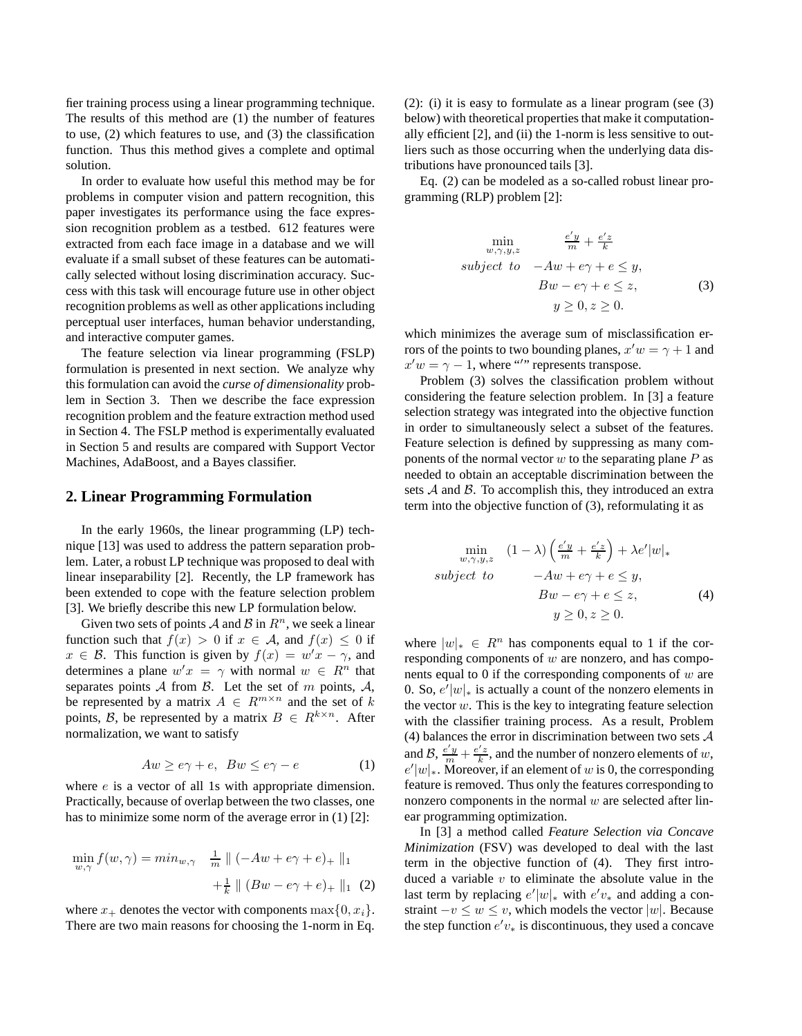fier training process using a linear programming technique. The results of this method are (1) the number of features to use, (2) which features to use, and (3) the classification function. Thus this method gives a complete and optimal solution.

In order to evaluate how useful this method may be for problems in computer vision and pattern recognition, this paper investigates its performance using the face expression recognition problem as a testbed. 612 features were extracted from each face image in a database and we will evaluate if a small subset of these features can be automatically selected without losing discrimination accuracy. Success with this task will encourage future use in other object recognition problems as well as other applications including perceptual user interfaces, human behavior understanding, and interactive computer games.

The feature selection via linear programming (FSLP) formulation is presented in next section. We analyze why this formulation can avoid the *curse of dimensionality* problem in Section 3. Then we describe the face expression recognition problem and the feature extraction method used in Section 4. The FSLP method is experimentally evaluated in Section 5 and results are compared with Support Vector Machines, AdaBoost, and a Bayes classifier.

## **2. Linear Programming Formulation**

In the early 1960s, the linear programming (LP) technique [13] was used to address the pattern separation problem. Later, a robust LP technique was proposed to deal with linear inseparability [2]. Recently, the LP framework has been extended to cope with the feature selection problem [3]. We briefly describe this new LP formulation below.

Given two sets of points A and B in  $\mathbb{R}^n$ , we seek a linear function such that  $f(x) > 0$  if  $x \in A$ , and  $f(x) \leq 0$  if  $x \in \mathcal{B}$ . This function is given by  $f(x) = w'x - \gamma$ , and determines a plane  $w'x = \gamma$  with normal  $w \in R^n$  that separates points  $A$  from  $B$ . Let the set of m points,  $A$ , be represented by a matrix  $A \in R^{m \times n}$  and the set of k points, B, be represented by a matrix  $B \in R^{k \times n}$ . After normalization, we want to satisfy

$$
Aw \geq e\gamma + e, \ Bw \leq e\gamma - e \tag{1}
$$

where *e* is a vector of all 1s with appropriate dimension. Practically, because of overlap between the two classes, one has to minimize some norm of the average error in (1) [2]:

$$
\min_{w,\gamma} f(w,\gamma) = \min_{w,\gamma} \quad \frac{1}{m} \parallel (-Aw + e\gamma + e)_+ \parallel_1
$$

$$
+ \frac{1}{k} \parallel (Bw - e\gamma + e)_+ \parallel_1 (2)
$$

where  $x_+$  denotes the vector with components max $\{0, x_i\}.$ There are two main reasons for choosing the 1-norm in Eq.

 $(2)$ : (i) it is easy to formulate as a linear program (see  $(3)$ ) below) with theoretical properties that make it computationally efficient [2], and (ii) the 1-norm is less sensitive to outliers such as those occurring when the underlying data distributions have pronounced tails [3].

Eq. (2) can be modeled as a so-called robust linear programming (RLP) problem [2]:

$$
\min_{w,\gamma,y,z} \qquad \frac{e'y}{m} + \frac{e'z}{k}
$$
\n
$$
subject \quad to \quad -Aw + e\gamma + e \le y,
$$
\n
$$
Bw - e\gamma + e \le z,
$$
\n
$$
y \ge 0, z \ge 0.
$$
\n(3)

which minimizes the average sum of misclassification errors of the points to two bounding planes,  $x'w = \gamma + 1$  and  $x'w = \gamma - 1$ , where "'" represents transpose.

Problem (3) solves the classification problem without considering the feature selection problem. In [3] a feature selection strategy was integrated into the objective function in order to simultaneously select a subset of the features. Feature selection is defined by suppressing as many components of the normal vector  $w$  to the separating plane  $P$  as needed to obtain an acceptable discrimination between the sets  $A$  and  $B$ . To accomplish this, they introduced an extra term into the objective function of (3), reformulating it as

$$
\min_{w,\gamma,y,z} \quad (1-\lambda) \left( \frac{e'y}{m} + \frac{e'z}{k} \right) + \lambda e' |w|_*
$$
\n
$$
subject \quad to \quad -Aw + e\gamma + e \le y,
$$
\n
$$
Bw - e\gamma + e \le z,
$$
\n
$$
y \ge 0, z \ge 0.
$$
\n(4)

where  $|w|_* \in R^n$  has components equal to 1 if the corresponding components of  $w$  are nonzero, and has components equal to 0 if the corresponding components of  $w$  are 0. So,  $e'|w|_*$  is actually a count of the nonzero elements in the vector  $w$ . This is the key to integrating feature selection with the classifier training process. As a result, Problem (4) balances the error in discrimination between two sets  $A$ and  $B$ ,  $\frac{e'y}{m} + \frac{e'z}{k}$ , and the number of nonzero elements of w,  $e'|w|_*$ . Moreover, if an element of w is 0, the corresponding feature is removed. Thus only the features corresponding to nonzero components in the normal  $w$  are selected after linear programming optimization.

In [3] a method called *Feature Selection via Concave Minimization* (FSV) was developed to deal with the last term in the objective function of (4). They first introduced a variable  $v$  to eliminate the absolute value in the last term by replacing  $e'|w|_*$  with  $e'v_*$  and adding a constraint  $-v \leq w \leq v$ , which models the vector |w|. Because the step function  $e'v_*$  is discontinuous, they used a concave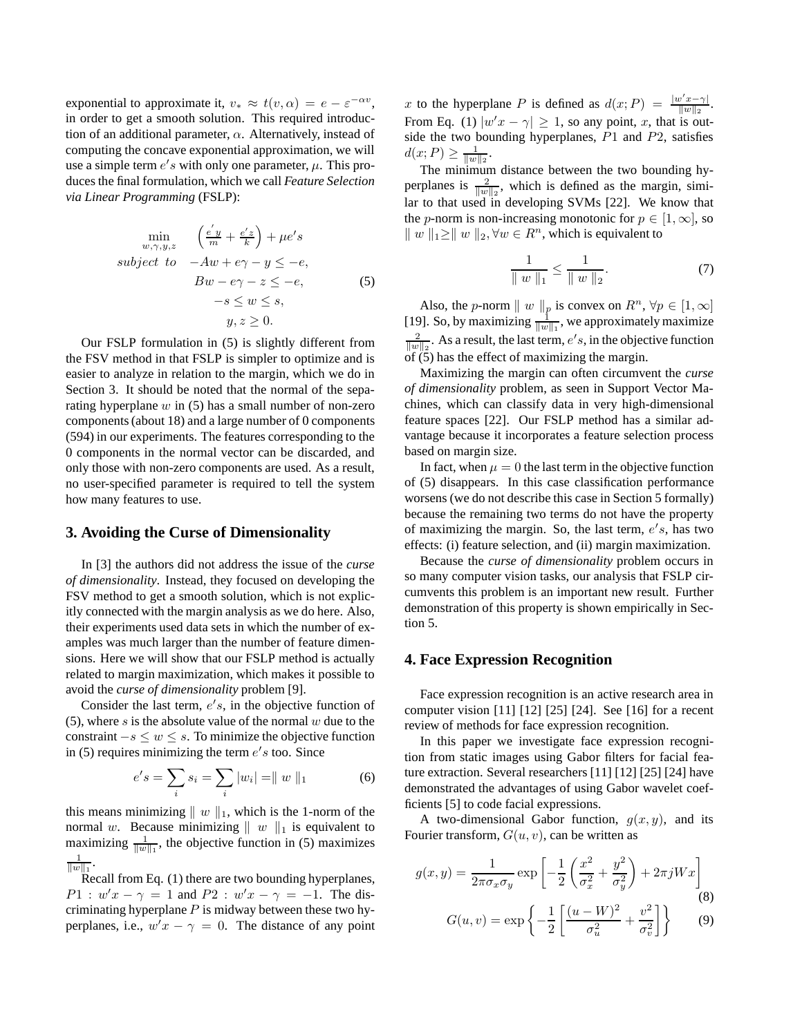exponential to approximate it,  $v_* \approx t(v, \alpha) = e - \varepsilon^{-\alpha v}$ , in order to get a smooth solution. This required introduction of an additional parameter,  $\alpha$ . Alternatively, instead of computing the concave exponential approximation, we will use a simple term  $e's$  with only one parameter,  $\mu$ . This produces the final formulation, which we call *Feature Selection via Linear Programming* (FSLP):

$$
\min_{w,\gamma,y,z} \quad \left(\frac{e'y}{m} + \frac{e'z}{k}\right) + \mu e's
$$
\n
$$
subject \quad to \quad -Aw + e\gamma - y \le -e,
$$
\n
$$
Bw - e\gamma - z \le -e,
$$
\n
$$
-s \le w \le s,
$$
\n
$$
y, z \ge 0.
$$
\n(5)

Our FSLP formulation in (5) is slightly different from the FSV method in that FSLP is simpler to optimize and is easier to analyze in relation to the margin, which we do in Section 3. It should be noted that the normal of the separating hyperplane  $w$  in (5) has a small number of non-zero components(about 18) and a large number of 0 components (594) in our experiments. The features corresponding to the 0 components in the normal vector can be discarded, and only those with non-zero components are used. As a result, no user-specified parameter is required to tell the system how many features to use.

# **3. Avoiding the Curse of Dimensionality**

In [3] the authors did not address the issue of the *curse of dimensionality*. Instead, they focused on developing the FSV method to get a smooth solution, which is not explicitly connected with the margin analysis as we do here. Also, their experiments used data sets in which the number of examples was much larger than the number of feature dimensions. Here we will show that our FSLP method is actually related to margin maximization, which makes it possible to avoid the *curse of dimensionality* problem [9].

Consider the last term,  $e's$ , in the objective function of (5), where s is the absolute value of the normal  $w$  due to the constraint  $-s \leq w \leq s$ . To minimize the objective function in (5) requires minimizing the term  $e's$  too. Since

$$
e's = \sum_{i} s_i = \sum_{i} |w_i| = ||w||_1
$$
 (6)

this means minimizing  $|| w ||_1$ , which is the 1-norm of the normal w. Because minimizing  $\| w \|_1$  is equivalent to maximizing  $\frac{1}{\|w\|_1}$ , the objective function in (5) maximizes 1  $\frac{1}{\|w\|_1}$ .

Recall from Eq. (1) there are two bounding hyperplanes,  $P1: w'x - \gamma = 1$  and  $P2: w'x - \gamma = -1$ . The discriminating hyperplane  $P$  is midway between these two hyperplanes, i.e.,  $w'x - \gamma = 0$ . The distance of any point x to the hyperplane P is defined as  $d(x; P) = \frac{|w'x - \gamma|}{||w||_2}$  $\frac{v(x-\gamma)}{\|w\|_2}$ . From Eq. (1)  $|w'x - \gamma| \ge 1$ , so any point, x, that is outside the two bounding hyperplanes,  $P1$  and  $P2$ , satisfies  $d(x; P) \geq \frac{1}{\|w\|_2}.$ 

The minimum distance between the two bounding hyperplanes is  $\frac{2}{\|w\|_2}$ , which is defined as the margin, similar to that used in developing SVMs [22]. We know that the *p*-norm is non-increasing monotonic for  $p \in [1,\infty]$ , so  $||w||_1 \ge ||w||_2, \forall w \in R^n$ , which is equivalent to

$$
\frac{1}{\|w\|_1} \le \frac{1}{\|w\|_2}.\tag{7}
$$

Also, the *p*-norm  $|| w ||_p$  is convex on  $R^n$ ,  $\forall p \in [1, \infty]$ [19]. So, by maximizing  $\frac{1}{\|w\|_1}$ , we approximately maximize  $\frac{2}{\|w\|_2}$ . As a result, the last term,  $e's$ , in the objective function of (5) has the effect of maximizing the margin.

Maximizing the margin can often circumvent the *curse of dimensionality* problem, as seen in Support Vector Machines, which can classify data in very high-dimensional feature spaces [22]. Our FSLP method has a similar advantage because it incorporates a feature selection process based on margin size.

In fact, when  $\mu = 0$  the last term in the objective function of (5) disappears. In this case classification performance worsens (we do not describe this case in Section 5 formally) because the remaining two terms do not have the property of maximizing the margin. So, the last term,  $e's$ , has two effects: (i) feature selection, and (ii) margin maximization.

Because the *curse of dimensionality* problem occurs in so many computer vision tasks, our analysis that FSLP circumvents this problem is an important new result. Further demonstration of this property is shown empirically in Section 5.

## **4. Face Expression Recognition**

Face expression recognition is an active research area in computer vision [11] [12] [25] [24]. See [16] for a recent review of methods for face expression recognition.

In this paper we investigate face expression recognition from static images using Gabor filters for facial feature extraction. Several researchers [11] [12] [25] [24] have demonstrated the advantages of using Gabor wavelet coefficients [5] to code facial expressions.

A two-dimensional Gabor function,  $g(x, y)$ , and its Fourier transform,  $G(u, v)$ , can be written as

$$
g(x,y) = \frac{1}{2\pi\sigma_x\sigma_y} \exp\left[-\frac{1}{2}\left(\frac{x^2}{\sigma_x^2} + \frac{y^2}{\sigma_y^2}\right) + 2\pi jWx\right]
$$
\n
$$
G(u,v) = \exp\left\{-\frac{1}{2}\left[\frac{(u-W)^2}{\sigma_u^2} + \frac{v^2}{\sigma_v^2}\right]\right\}
$$
\n(9)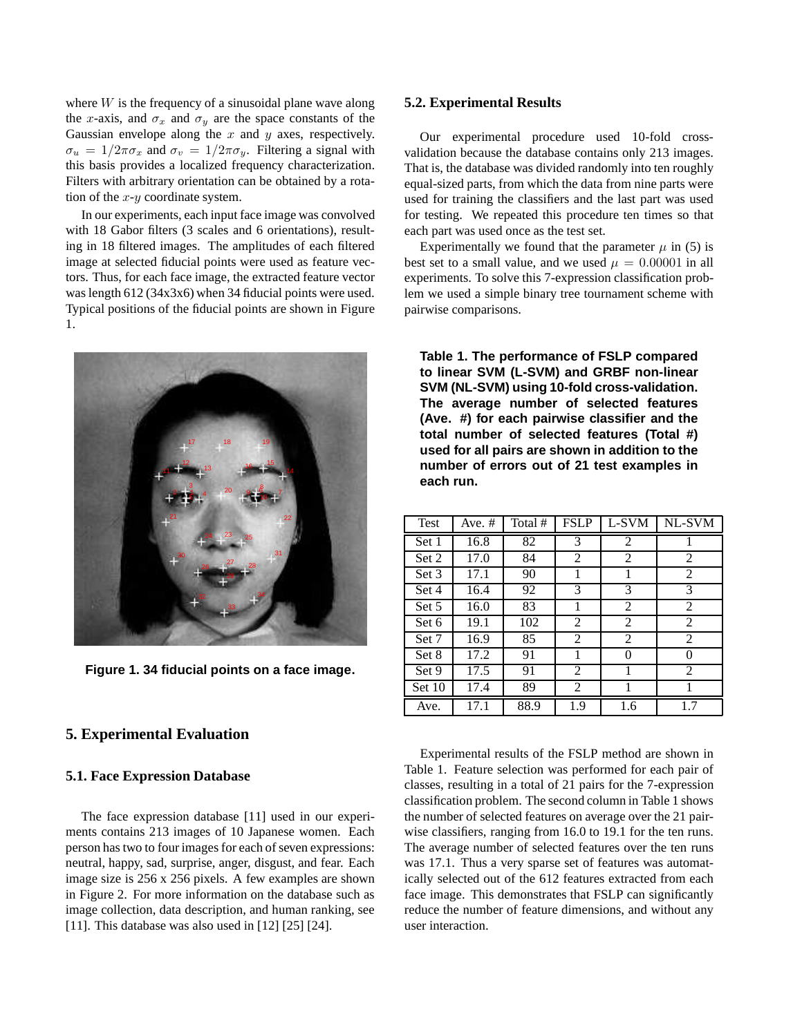where  $W$  is the frequency of a sinusoidal plane wave along the x-axis, and  $\sigma_x$  and  $\sigma_y$  are the space constants of the Gaussian envelope along the  $x$  and  $y$  axes, respectively.  $\sigma_u = 1/2\pi\sigma_x$  and  $\sigma_v = 1/2\pi\sigma_y$ . Filtering a signal with this basis provides a localized frequency characterization. Filters with arbitrary orientation can be obtained by a rotation of the  $x-y$  coordinate system.

In our experiments, each input face image was convolved with 18 Gabor filters (3 scales and 6 orientations), resulting in 18 filtered images. The amplitudes of each filtered image at selected fiducial points were used as feature vectors. Thus, for each face image, the extracted feature vector was length 612 (34x3x6) when 34 fiducial points were used. Typical positions of the fiducial points are shown in Figure 1.



**Figure 1. 34 fiducial points on a face image.**

# **5. Experimental Evaluation**

#### **5.1. Face Expression Database**

The face expression database [11] used in our experiments contains 213 images of 10 Japanese women. Each person has two to four images for each of seven expressions: neutral, happy, sad, surprise, anger, disgust, and fear. Each image size is 256 x 256 pixels. A few examples are shown in Figure 2. For more information on the database such as image collection, data description, and human ranking, see [11]. This database was also used in [12] [25] [24].

## **5.2. Experimental Results**

Our experimental procedure used 10-fold crossvalidation because the database contains only 213 images. That is, the database was divided randomly into ten roughly equal-sized parts, from which the data from nine parts were used for training the classifiers and the last part was used for testing. We repeated this procedure ten times so that each part was used once as the test set.

Experimentally we found that the parameter  $\mu$  in (5) is best set to a small value, and we used  $\mu = 0.00001$  in all experiments. To solve this 7-expression classification problem we used a simple binary tree tournament scheme with pairwise comparisons.

**Table 1. The performance of FSLP compared to linear SVM (L-SVM) and GRBF non-linear SVM (NL-SVM) using 10-fold cross-validation. The average number of selected features (Ave. #) for each pairwise classifier and the total number of selected features (Total #) used for all pairs are shown in addition to the number of errors out of 21 test examples in each run.**

| Test   | Ave. $#$ | Total # | <b>FSLP</b> | L-SVM          | NL-SVM        |
|--------|----------|---------|-------------|----------------|---------------|
| Set 1  | 16.8     | 82      | 3           | $\overline{2}$ |               |
| Set 2  | 17.0     | 84      | 2           | 2              | 2             |
| Set 3  | 17.1     | 90      | 1           | 1              | 2             |
| Set 4  | 16.4     | 92      | 3           | 3              | 3             |
| Set 5  | 16.0     | 83      | 1           | 2              | 2             |
| Set 6  | 19.1     | 102     | 2           | 2              | 2             |
| Set 7  | 16.9     | 85      | 2           | 2              | 2             |
| Set 8  | 17.2     | 91      |             | 0              | $\mathcal{O}$ |
| Set 9  | 17.5     | 91      | 2           |                | 2             |
| Set 10 | 17.4     | 89      | 2           |                |               |
| Ave.   | 17.1     | 88.9    | 1.9         | 1.6            | 1.7           |

Experimental results of the FSLP method are shown in Table 1. Feature selection was performed for each pair of classes, resulting in a total of 21 pairs for the 7-expression classification problem. The second column in Table 1 shows the number of selected features on average over the 21 pairwise classifiers, ranging from 16.0 to 19.1 for the ten runs. The average number of selected features over the ten runs was 17.1. Thus a very sparse set of features was automatically selected out of the 612 features extracted from each face image. This demonstrates that FSLP can significantly reduce the number of feature dimensions, and without any user interaction.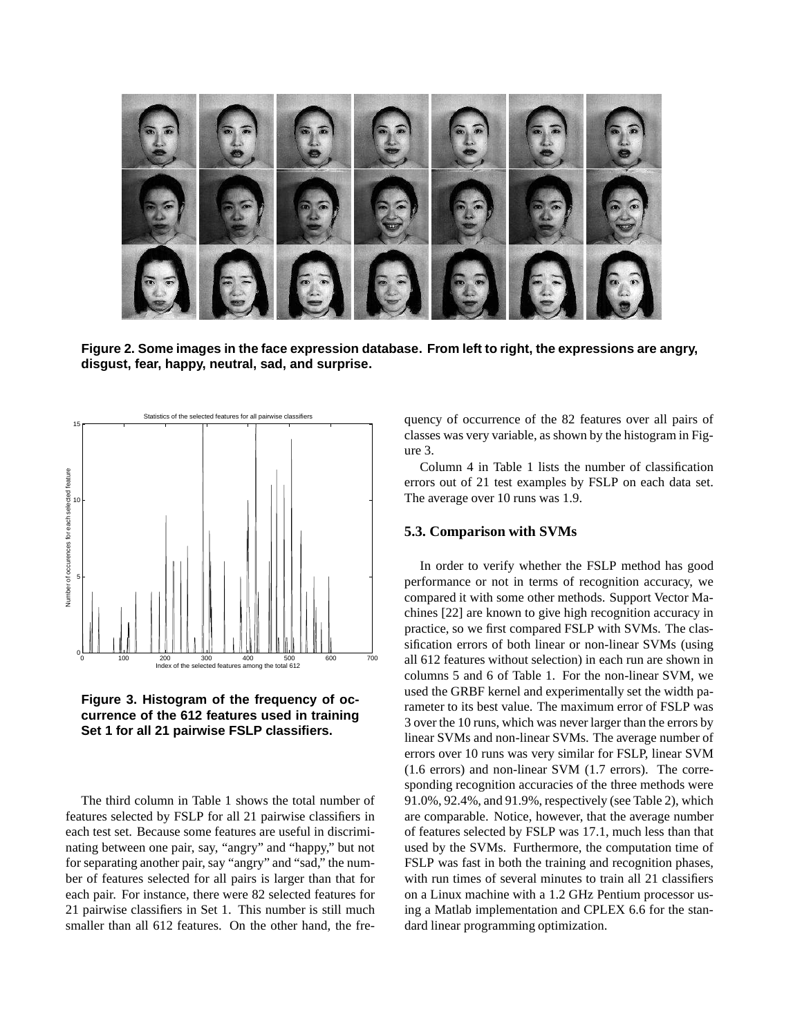

**Figure 2. Some images in the face expression database. From left to right, the expressions are angry, disgust, fear, happy, neutral, sad, and surprise.**





The third column in Table 1 shows the total number of features selected by FSLP for all 21 pairwise classifiers in each test set. Because some features are useful in discriminating between one pair, say, "angry" and "happy," but not for separating another pair, say "angry" and "sad," the number of features selected for all pairs is larger than that for each pair. For instance, there were 82 selected features for 21 pairwise classifiers in Set 1. This number is still much smaller than all 612 features. On the other hand, the frequency of occurrence of the 82 features over all pairs of classes was very variable, as shown by the histogram in Figure 3.

Column 4 in Table 1 lists the number of classification errors out of 21 test examples by FSLP on each data set. The average over 10 runs was 1.9.

# **5.3. Comparison with SVMs**

In order to verify whether the FSLP method has good performance or not in terms of recognition accuracy, we compared it with some other methods. Support Vector Machines [22] are known to give high recognition accuracy in practice, so we first compared FSLP with SVMs. The classification errors of both linear or non-linear SVMs (using all 612 features without selection) in each run are shown in columns 5 and 6 of Table 1. For the non-linear SVM, we used the GRBF kernel and experimentally set the width parameter to its best value. The maximum error of FSLP was 3 over the 10 runs, which was never larger than the errors by linear SVMs and non-linear SVMs. The average number of errors over 10 runs was very similar for FSLP, linear SVM (1.6 errors) and non-linear SVM (1.7 errors). The corresponding recognition accuracies of the three methods were 91.0%, 92.4%, and 91.9%, respectively (see Table 2), which are comparable. Notice, however, that the average number of features selected by FSLP was 17.1, much less than that used by the SVMs. Furthermore, the computation time of FSLP was fast in both the training and recognition phases, with run times of several minutes to train all 21 classifiers on a Linux machine with a 1.2 GHz Pentium processor using a Matlab implementation and CPLEX 6.6 for the standard linear programming optimization.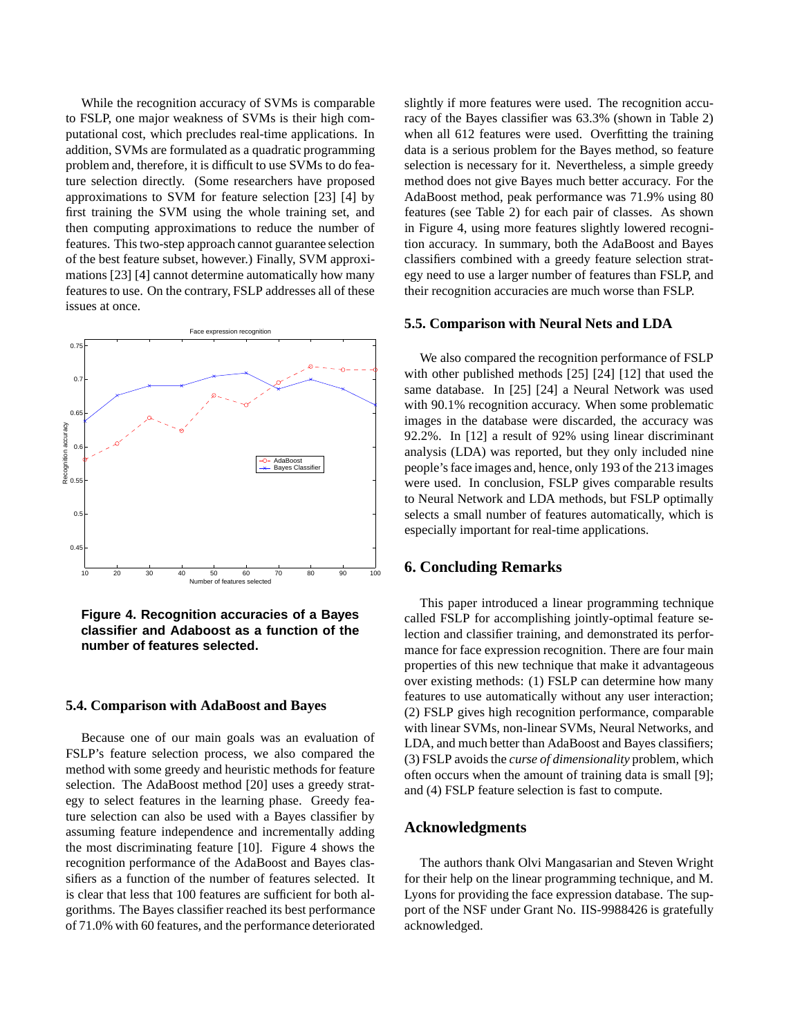While the recognition accuracy of SVMs is comparable to FSLP, one major weakness of SVMs is their high computational cost, which precludes real-time applications. In addition, SVMs are formulated as a quadratic programming problem and, therefore, it is difficult to use SVMs to do feature selection directly. (Some researchers have proposed approximations to SVM for feature selection [23] [4] by first training the SVM using the whole training set, and then computing approximations to reduce the number of features. This two-step approach cannot guarantee selection of the best feature subset, however.) Finally, SVM approximations [23] [4] cannot determine automatically how many features to use. On the contrary, FSLP addresses all of these issues at once.



**Figure 4. Recognition accuracies of a Bayes classifier and Adaboost as a function of the number of features selected.**

#### **5.4. Comparison with AdaBoost and Bayes**

Because one of our main goals was an evaluation of FSLP's feature selection process, we also compared the method with some greedy and heuristic methods for feature selection. The AdaBoost method [20] uses a greedy strategy to select features in the learning phase. Greedy feature selection can also be used with a Bayes classifier by assuming feature independence and incrementally adding the most discriminating feature [10]. Figure 4 shows the recognition performance of the AdaBoost and Bayes classifiers as a function of the number of features selected. It is clear that less that 100 features are sufficient for both algorithms. The Bayes classifier reached its best performance of 71.0% with 60 features, and the performance deteriorated slightly if more features were used. The recognition accuracy of the Bayes classifier was 63.3% (shown in Table 2) when all 612 features were used. Overfitting the training data is a serious problem for the Bayes method, so feature selection is necessary for it. Nevertheless, a simple greedy method does not give Bayes much better accuracy. For the AdaBoost method, peak performance was 71.9% using 80 features (see Table 2) for each pair of classes. As shown in Figure 4, using more features slightly lowered recognition accuracy. In summary, both the AdaBoost and Bayes classifiers combined with a greedy feature selection strategy need to use a larger number of features than FSLP, and their recognition accuracies are much worse than FSLP.

#### **5.5. Comparison with Neural Nets and LDA**

We also compared the recognition performance of FSLP with other published methods [25] [24] [12] that used the same database. In [25] [24] a Neural Network was used with 90.1% recognition accuracy. When some problematic images in the database were discarded, the accuracy was 92.2%. In [12] a result of 92% using linear discriminant analysis (LDA) was reported, but they only included nine people'sface images and, hence, only 193 of the 213 images were used. In conclusion, FSLP gives comparable results to Neural Network and LDA methods, but FSLP optimally selects a small number of features automatically, which is especially important for real-time applications.

# **6. Concluding Remarks**

This paper introduced a linear programming technique called FSLP for accomplishing jointly-optimal feature selection and classifier training, and demonstrated its performance for face expression recognition. There are four main properties of this new technique that make it advantageous over existing methods: (1) FSLP can determine how many features to use automatically without any user interaction; (2) FSLP gives high recognition performance, comparable with linear SVMs, non-linear SVMs, Neural Networks, and LDA, and much better than AdaBoost and Bayes classifiers; (3) FSLP avoids the *curse of dimensionality* problem, which often occurs when the amount of training data is small [9]; and (4) FSLP feature selection is fast to compute.

### **Acknowledgments**

The authors thank Olvi Mangasarian and Steven Wright for their help on the linear programming technique, and M. Lyons for providing the face expression database. The support of the NSF under Grant No. IIS-9988426 is gratefully acknowledged.